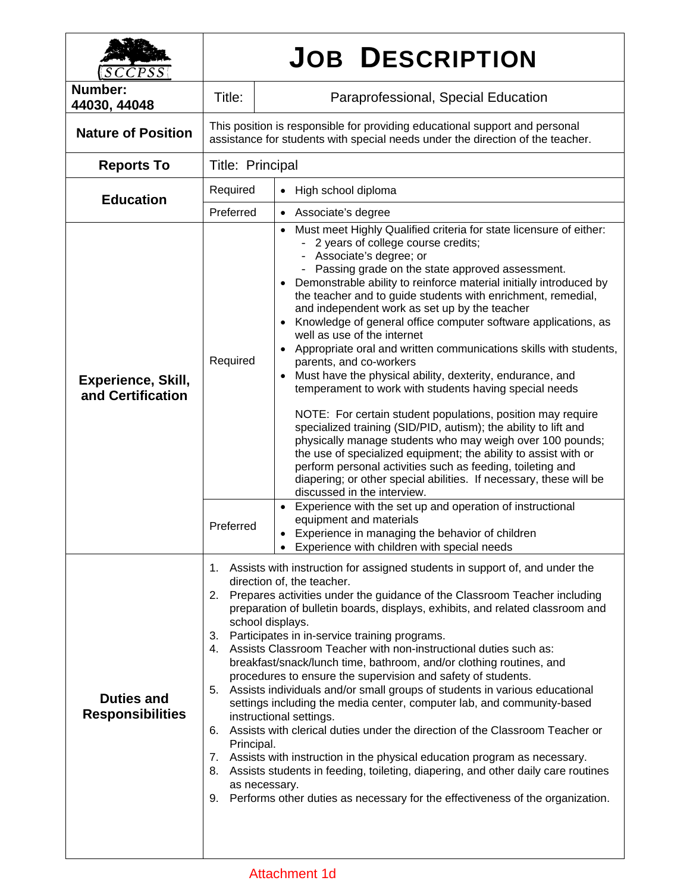| SCCPSS                                         | <b>JOB DESCRIPTION</b>                                                                                                                                                                                                                                                                                                                                                                                                                                                                                                                                                                                                                                                                                                                                                                                                                                                                                                                                                                                                                                                                                                                                  |                                                                                                                                                                                                                                                                                                                                                                                                                                                                                                                                                                                                                                                                                                                                                                                                                                                                                                                                                                                                                                                                                                                                                                                                                         |  |  |
|------------------------------------------------|---------------------------------------------------------------------------------------------------------------------------------------------------------------------------------------------------------------------------------------------------------------------------------------------------------------------------------------------------------------------------------------------------------------------------------------------------------------------------------------------------------------------------------------------------------------------------------------------------------------------------------------------------------------------------------------------------------------------------------------------------------------------------------------------------------------------------------------------------------------------------------------------------------------------------------------------------------------------------------------------------------------------------------------------------------------------------------------------------------------------------------------------------------|-------------------------------------------------------------------------------------------------------------------------------------------------------------------------------------------------------------------------------------------------------------------------------------------------------------------------------------------------------------------------------------------------------------------------------------------------------------------------------------------------------------------------------------------------------------------------------------------------------------------------------------------------------------------------------------------------------------------------------------------------------------------------------------------------------------------------------------------------------------------------------------------------------------------------------------------------------------------------------------------------------------------------------------------------------------------------------------------------------------------------------------------------------------------------------------------------------------------------|--|--|
| Number:<br>44030, 44048                        | Title:                                                                                                                                                                                                                                                                                                                                                                                                                                                                                                                                                                                                                                                                                                                                                                                                                                                                                                                                                                                                                                                                                                                                                  | Paraprofessional, Special Education                                                                                                                                                                                                                                                                                                                                                                                                                                                                                                                                                                                                                                                                                                                                                                                                                                                                                                                                                                                                                                                                                                                                                                                     |  |  |
| <b>Nature of Position</b>                      | This position is responsible for providing educational support and personal<br>assistance for students with special needs under the direction of the teacher.                                                                                                                                                                                                                                                                                                                                                                                                                                                                                                                                                                                                                                                                                                                                                                                                                                                                                                                                                                                           |                                                                                                                                                                                                                                                                                                                                                                                                                                                                                                                                                                                                                                                                                                                                                                                                                                                                                                                                                                                                                                                                                                                                                                                                                         |  |  |
| <b>Reports To</b>                              | Title: Principal                                                                                                                                                                                                                                                                                                                                                                                                                                                                                                                                                                                                                                                                                                                                                                                                                                                                                                                                                                                                                                                                                                                                        |                                                                                                                                                                                                                                                                                                                                                                                                                                                                                                                                                                                                                                                                                                                                                                                                                                                                                                                                                                                                                                                                                                                                                                                                                         |  |  |
| <b>Education</b>                               | Required                                                                                                                                                                                                                                                                                                                                                                                                                                                                                                                                                                                                                                                                                                                                                                                                                                                                                                                                                                                                                                                                                                                                                | High school diploma<br>$\bullet$                                                                                                                                                                                                                                                                                                                                                                                                                                                                                                                                                                                                                                                                                                                                                                                                                                                                                                                                                                                                                                                                                                                                                                                        |  |  |
|                                                | Preferred                                                                                                                                                                                                                                                                                                                                                                                                                                                                                                                                                                                                                                                                                                                                                                                                                                                                                                                                                                                                                                                                                                                                               | • Associate's degree                                                                                                                                                                                                                                                                                                                                                                                                                                                                                                                                                                                                                                                                                                                                                                                                                                                                                                                                                                                                                                                                                                                                                                                                    |  |  |
| <b>Experience, Skill,</b><br>and Certification | Required                                                                                                                                                                                                                                                                                                                                                                                                                                                                                                                                                                                                                                                                                                                                                                                                                                                                                                                                                                                                                                                                                                                                                | Must meet Highly Qualified criteria for state licensure of either:<br>$\bullet$<br>- 2 years of college course credits;<br>- Associate's degree; or<br>Passing grade on the state approved assessment.<br>Demonstrable ability to reinforce material initially introduced by<br>the teacher and to guide students with enrichment, remedial,<br>and independent work as set up by the teacher<br>Knowledge of general office computer software applications, as<br>well as use of the internet<br>Appropriate oral and written communications skills with students,<br>parents, and co-workers<br>Must have the physical ability, dexterity, endurance, and<br>temperament to work with students having special needs<br>NOTE: For certain student populations, position may require<br>specialized training (SID/PID, autism); the ability to lift and<br>physically manage students who may weigh over 100 pounds;<br>the use of specialized equipment; the ability to assist with or<br>perform personal activities such as feeding, toileting and<br>diapering; or other special abilities. If necessary, these will be<br>discussed in the interview.<br>Experience with the set up and operation of instructional |  |  |
|                                                | Preferred                                                                                                                                                                                                                                                                                                                                                                                                                                                                                                                                                                                                                                                                                                                                                                                                                                                                                                                                                                                                                                                                                                                                               | equipment and materials<br>• Experience in managing the behavior of children<br>• Experience with children with special needs                                                                                                                                                                                                                                                                                                                                                                                                                                                                                                                                                                                                                                                                                                                                                                                                                                                                                                                                                                                                                                                                                           |  |  |
| <b>Duties and</b><br><b>Responsibilities</b>   | 1. Assists with instruction for assigned students in support of, and under the<br>direction of, the teacher.<br>2. Prepares activities under the guidance of the Classroom Teacher including<br>preparation of bulletin boards, displays, exhibits, and related classroom and<br>school displays.<br>Participates in in-service training programs.<br>3.<br>Assists Classroom Teacher with non-instructional duties such as:<br>4.<br>breakfast/snack/lunch time, bathroom, and/or clothing routines, and<br>procedures to ensure the supervision and safety of students.<br>Assists individuals and/or small groups of students in various educational<br>5.<br>settings including the media center, computer lab, and community-based<br>instructional settings.<br>Assists with clerical duties under the direction of the Classroom Teacher or<br>6.<br>Principal.<br>Assists with instruction in the physical education program as necessary.<br>7.<br>8. Assists students in feeding, toileting, diapering, and other daily care routines<br>as necessary.<br>Performs other duties as necessary for the effectiveness of the organization.<br>9. |                                                                                                                                                                                                                                                                                                                                                                                                                                                                                                                                                                                                                                                                                                                                                                                                                                                                                                                                                                                                                                                                                                                                                                                                                         |  |  |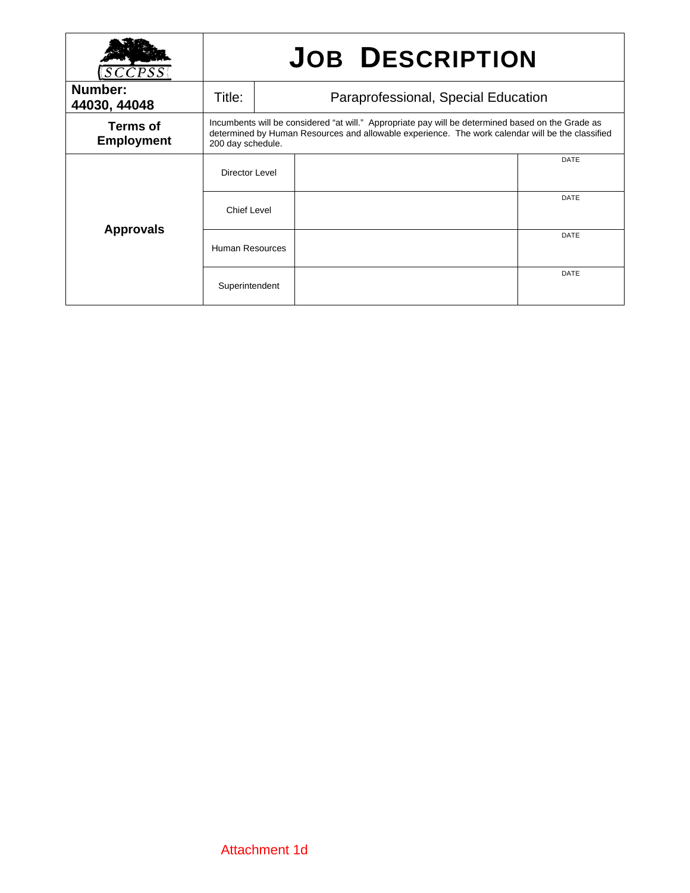|                               | <b>JOB DESCRIPTION</b>                                                                                                                                                                                                     |  |  |             |
|-------------------------------|----------------------------------------------------------------------------------------------------------------------------------------------------------------------------------------------------------------------------|--|--|-------------|
| Number:<br>44030, 44048       | Title:<br>Paraprofessional, Special Education                                                                                                                                                                              |  |  |             |
| Terms of<br><b>Employment</b> | Incumbents will be considered "at will." Appropriate pay will be determined based on the Grade as<br>determined by Human Resources and allowable experience. The work calendar will be the classified<br>200 day schedule. |  |  |             |
| <b>Approvals</b>              | Director Level                                                                                                                                                                                                             |  |  | DATE        |
|                               | <b>Chief Level</b>                                                                                                                                                                                                         |  |  | <b>DATE</b> |
|                               | Human Resources                                                                                                                                                                                                            |  |  | <b>DATE</b> |
|                               | Superintendent                                                                                                                                                                                                             |  |  | <b>DATE</b> |